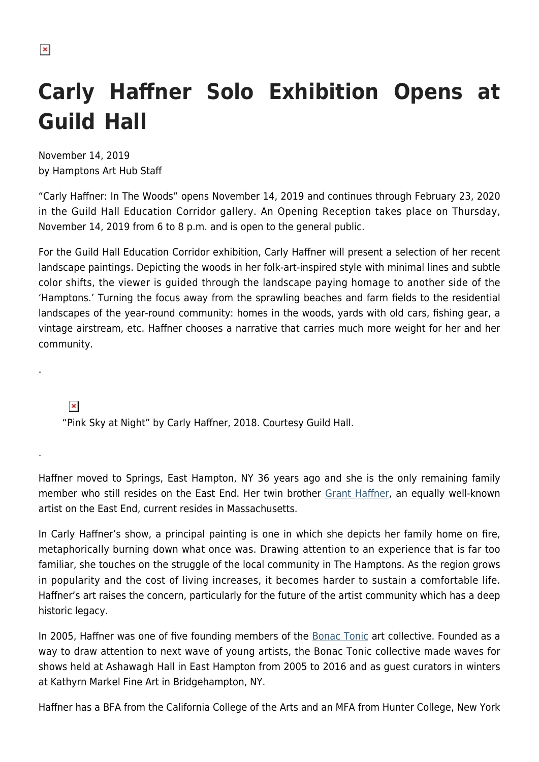## **Carly Haffner Solo Exhibition Opens at**

November 14, 2019 by Hamptons Art Hub Staff

**Guild Hall**

"Carly Haffner: In The Woods" opens November 14, 2019 and continues through February 23, 2020 in the Guild Hall Education Corridor gallery. An Opening Reception takes place on Thursday, November 14, 2019 from 6 to 8 p.m. and is open to the general public.

For the Guild Hall Education Corridor exhibition, Carly Haffner will present a selection of her recent landscape paintings. Depicting the woods in her folk-art-inspired style with minimal lines and subtle color shifts, the viewer is guided through the landscape paying homage to another side of the 'Hamptons.' Turning the focus away from the sprawling beaches and farm fields to the residential landscapes of the year-round community: homes in the woods, yards with old cars, fishing gear, a vintage airstream, etc. Haffner chooses a narrative that carries much more weight for her and her community.

 $\pmb{\times}$ 

.

.

"Pink Sky at Night" by Carly Haffner, 2018. Courtesy Guild Hall.

Haffner moved to Springs, East Hampton, NY 36 years ago and she is the only remaining family member who still resides on the East End. Her twin brother [Grant Haffner,](https://hamptonsarthub.com/2014/11/23/landscape-moments-grant-haffner/) an equally well-known artist on the East End, current resides in Massachusetts.

In Carly Haffner's show, a principal painting is one in which she depicts her family home on fire, metaphorically burning down what once was. Drawing attention to an experience that is far too familiar, she touches on the struggle of the local community in The Hamptons. As the region grows in popularity and the cost of living increases, it becomes harder to sustain a comfortable life. Haffner's art raises the concern, particularly for the future of the artist community which has a deep historic legacy.

In 2005, Haffner was one of five founding members of the **[Bonac Tonic](https://hamptonsarthub.com/2011/08/05/bonac-tonic-evolves/) art collective. Founded as a** way to draw attention to next wave of young artists, the Bonac Tonic collective made waves for shows held at Ashawagh Hall in East Hampton from 2005 to 2016 and as guest curators in winters at Kathyrn Markel Fine Art in Bridgehampton, NY.

Haffner has a BFA from the California College of the Arts and an MFA from Hunter College, New York